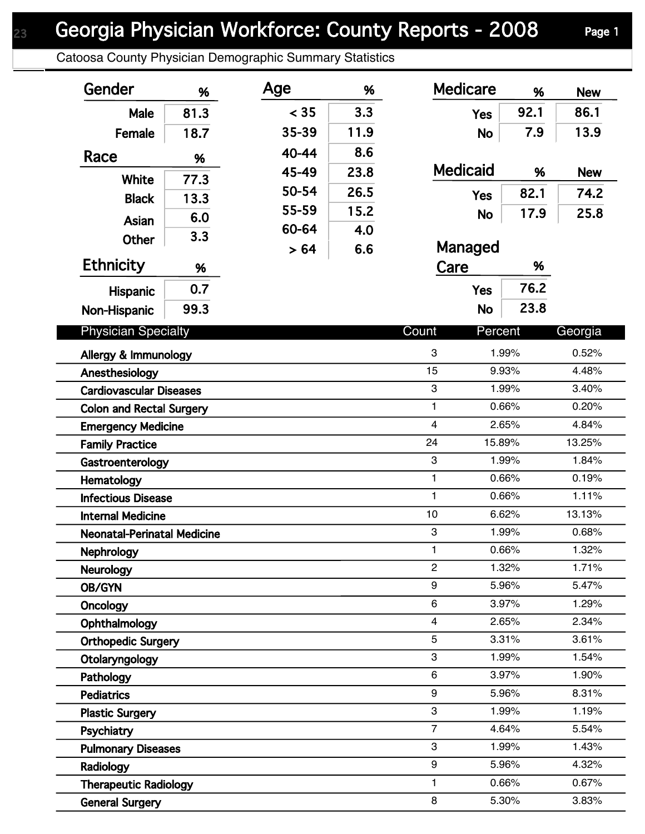## Georgia Physician Workforce: County Reports - 2008 Page 1

Catoosa County Physician Demographic Summary Statistics

| Gender                                  | %    | Age   | %    | <b>Medicare</b>           | %              | <b>New</b>     |
|-----------------------------------------|------|-------|------|---------------------------|----------------|----------------|
| Male                                    | 81.3 | < 35  | 3.3  | <b>Yes</b>                | 92.1           | 86.1           |
| Female                                  | 18.7 | 35-39 | 11.9 | <b>No</b>                 | 7.9            | 13.9           |
| Race                                    | %    | 40-44 | 8.6  |                           |                |                |
|                                         |      | 45-49 | 23.8 | <b>Medicaid</b>           | %              | <b>New</b>     |
| White                                   | 77.3 | 50-54 | 26.5 | <b>Yes</b>                | 82.1           | 74.2           |
| <b>Black</b>                            | 13.3 | 55-59 | 15.2 | <b>No</b>                 | 17.9           | 25.8           |
| Asian                                   | 6.0  | 60-64 | 4.0  |                           |                |                |
| Other                                   | 3.3  | > 64  | 6.6  | Managed                   |                |                |
| <b>Ethnicity</b>                        | %    |       |      | Care                      | %              |                |
| Hispanic                                | 0.7  |       |      | <b>Yes</b>                | 76.2           |                |
| Non-Hispanic                            | 99.3 |       |      | <b>No</b>                 | 23.8           |                |
|                                         |      |       |      |                           |                |                |
| <b>Physician Specialty</b>              |      |       |      | Count<br>Percent          |                | Georgia        |
| Allergy & Immunology                    |      |       |      | 3                         | 1.99%          | 0.52%          |
| Anesthesiology                          |      |       |      | 15                        | 9.93%          | 4.48%          |
| <b>Cardiovascular Diseases</b>          |      |       |      | 3<br>$\mathbf{1}$         | 1.99%<br>0.66% | 3.40%          |
| <b>Colon and Rectal Surgery</b>         |      |       |      | $\overline{\mathbf{4}}$   | 2.65%          | 0.20%<br>4.84% |
| <b>Emergency Medicine</b>               |      |       |      | 24                        | 15.89%         | 13.25%         |
| <b>Family Practice</b>                  |      |       |      | $\ensuremath{\mathsf{3}}$ | 1.99%          | 1.84%          |
| Gastroenterology                        |      |       |      | 1                         | 0.66%          | 0.19%          |
| Hematology<br><b>Infectious Disease</b> |      |       |      | 1                         | 0.66%          | 1.11%          |
| <b>Internal Medicine</b>                |      |       |      | 10                        | 6.62%          | 13.13%         |
| <b>Neonatal-Perinatal Medicine</b>      |      |       |      | 3                         | 1.99%          | 0.68%          |
| Nephrology                              |      |       |      | $\mathbf{1}$              | 0.66%          | 1.32%          |
| <b>Neurology</b>                        |      |       |      | $\overline{2}$            | 1.32%          | 1.71%          |
| <b>OB/GYN</b>                           |      |       |      | 9                         | 5.96%          | 5.47%          |
| Oncology                                |      |       |      | 6                         | 3.97%          | 1.29%          |
| Ophthalmology                           |      |       |      | 4                         | 2.65%          | 2.34%          |
| <b>Orthopedic Surgery</b>               |      |       |      | 5                         | 3.31%          | 3.61%          |
| Otolaryngology                          |      |       |      | 3                         | 1.99%          | 1.54%          |
| Pathology                               |      |       |      | 6                         | 3.97%          | 1.90%          |
| <b>Pediatrics</b>                       |      |       |      | 9                         | 5.96%          | 8.31%          |
| <b>Plastic Surgery</b>                  |      |       |      | 3                         | 1.99%          | 1.19%          |
| Psychiatry                              |      |       |      | $\overline{7}$            | 4.64%          | 5.54%          |
| <b>Pulmonary Diseases</b>               |      |       |      | 3                         | 1.99%          | 1.43%          |
| Radiology                               |      |       |      | 9                         | 5.96%          | 4.32%          |
| <b>Therapeutic Radiology</b>            |      |       |      | 1                         | 0.66%          | 0.67%          |
| <b>General Surgery</b>                  |      |       |      | 8                         | 5.30%          | 3.83%          |